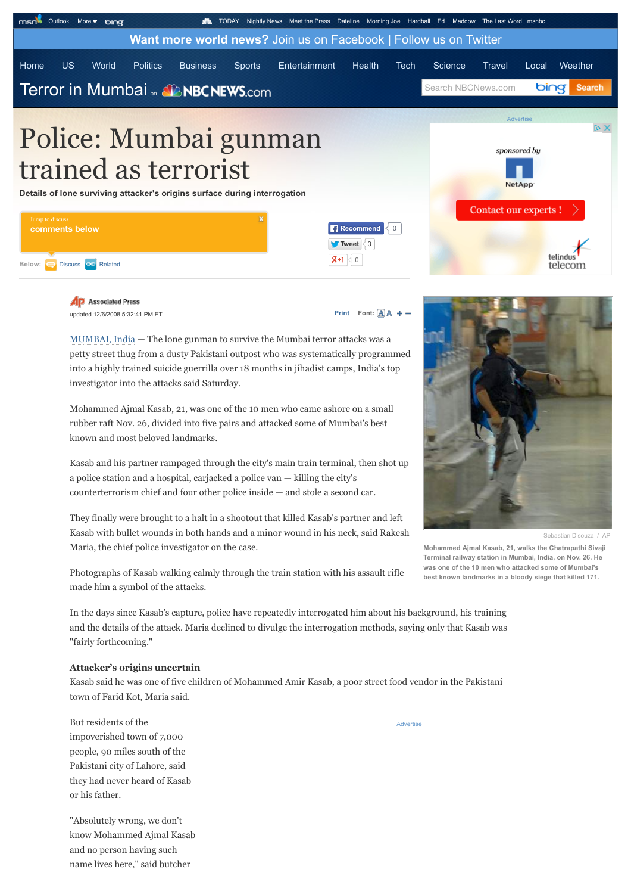

trained as terrorist

**Details of lone surviving attacker's origins surface during interrogation**

| Jump to discuss                  |                                    | Contact our experts ! |
|----------------------------------|------------------------------------|-----------------------|
| comments below                   | Recommend < 0                      |                       |
|                                  | $\blacksquare$ Tweet $\langle 0  $ |                       |
| Below: Discuss <b>CD</b> Related | $R+1$<br>$\langle 0 \rangle$       | telindu<br>teleco     |

**AD** Associated Press updated 12/6/2008 5:32:41 PM ET

**[Print](http://www.nbcnews.com/id/28085168/ns/world_news-south_and_central_asia/t/police-mumbai-gunman-trained-terrorist/#)**  $|$  **Font:**  $\overline{A}$  $\overline{A}$  **+ -**

[MUMBAI, India](http://www.bing.com/maps/?v=2&where1=MUMBAI,%20India&sty=h&form=msdate) — The lone gunman to survive the Mumbai terror attacks was a petty street thug from a dusty Pakistani outpost who was systematically programmed into a highly trained suicide guerrilla over 18 months in jihadist camps, India's top investigator into the attacks said Saturday.

Mohammed Ajmal Kasab, 21, was one of the 10 men who came ashore on a small rubber raft Nov. 26, divided into five pairs and attacked some of Mumbai's best known and most beloved landmarks.

Kasab and his partner rampaged through the city's main train terminal, then shot up a police station and a hospital, carjacked a police van — killing the city's counterterrorism chief and four other police inside — and stole a second car.

They finally were brought to a halt in a shootout that killed Kasab's partner and left Kasab with bullet wounds in both hands and a minor wound in his neck, said Rakesh Maria, the chief police investigator on the case.

Photographs of Kasab walking calmly through the train station with his assault rifle made him a symbol of the attacks.

In the days since Kasab's capture, police have repeatedly interrogated him about his background, his training and the details of the attack. Maria declined to divulge the interrogation methods, saying only that Kasab was "fairly forthcoming."

## **Attacker's origins uncertain**

Kasab said he was one of five children of Mohammed Amir Kasab, a poor street food vendor in the Pakistani town of Farid Kot, Maria said.

But residents of the impoverished town of 7,000 people, 90 miles south of the Pakistani city of Lahore, said they had never heard of Kasab or his father.

"Absolutely wrong, we don't know Mohammed Ajmal Kasab and no person having such name lives here," said butcher

**[Advertise](http://www.nbcnews.com/id/31066137/media-kit/)** 



NetApp

Sebastian D'souza / AP

**Mohammed Ajmal Kasab, 21, walks the Chatrapathi Sivaji Terminal railway station in Mumbai, India, on Nov. 26. He was one of the 10 men who attacked some of Mumbai's best known landmarks in a bloody siege that killed 171.**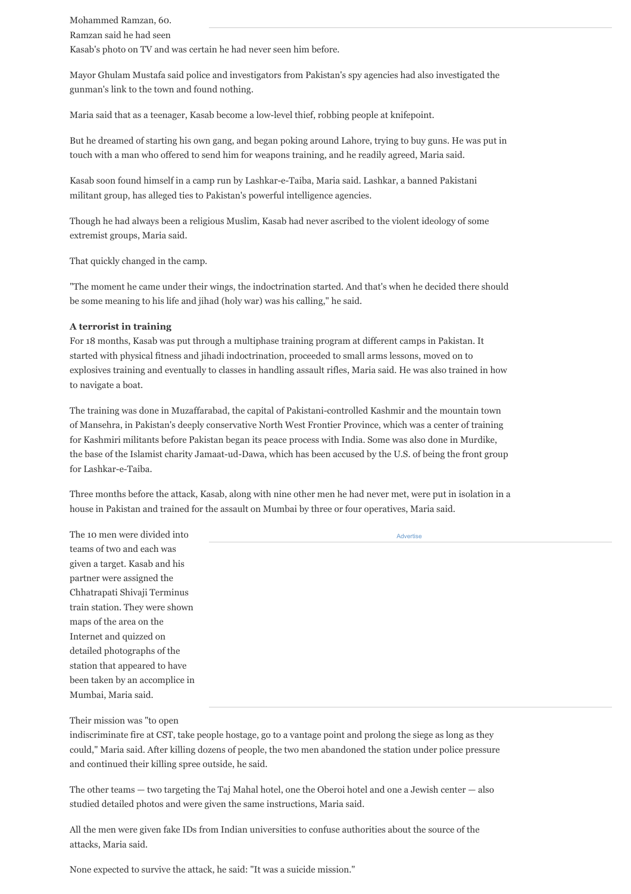Mohammed Ramzan, 60. Ramzan said he had seen Kasab's photo on TV and was certain he had never seen him before.

Mayor Ghulam Mustafa said police and investigators from Pakistan's spy agencies had also investigated the gunman's link to the town and found nothing.

Maria said that as a teenager, Kasab become a low-level thief, robbing people at knifepoint.

But he dreamed of starting his own gang, and began poking around Lahore, trying to buy guns. He was put in touch with a man who offered to send him for weapons training, and he readily agreed, Maria said.

Kasab soon found himself in a camp run by Lashkar-e-Taiba, Maria said. Lashkar, a banned Pakistani militant group, has alleged ties to Pakistan's powerful intelligence agencies.

Though he had always been a religious Muslim, Kasab had never ascribed to the violent ideology of some extremist groups, Maria said.

That quickly changed in the camp.

"The moment he came under their wings, the indoctrination started. And that's when he decided there should be some meaning to his life and jihad (holy war) was his calling," he said.

## **A terrorist in training**

For 18 months, Kasab was put through a multiphase training program at different camps in Pakistan. It started with physical fitness and jihadi indoctrination, proceeded to small arms lessons, moved on to explosives training and eventually to classes in handling assault rifles, Maria said. He was also trained in how to navigate a boat.

The training was done in Muzaffarabad, the capital of Pakistani-controlled Kashmir and the mountain town of Mansehra, in Pakistan's deeply conservative North West Frontier Province, which was a center of training for Kashmiri militants before Pakistan began its peace process with India. Some was also done in Murdike, the base of the Islamist charity Jamaat-ud-Dawa, which has been accused by the U.S. of being the front group for Lashkar-e-Taiba.

Three months before the attack, Kasab, along with nine other men he had never met, were put in isolation in a house in Pakistan and trained for the assault on Mumbai by three or four operatives, Maria said.

| The 10 men were divided into   | Advertise |
|--------------------------------|-----------|
| teams of two and each was      |           |
| given a target. Kasab and his  |           |
| partner were assigned the      |           |
| Chhatrapati Shivaji Terminus   |           |
| train station. They were shown |           |
| maps of the area on the        |           |
| Internet and quizzed on        |           |
| detailed photographs of the    |           |
| station that appeared to have  |           |
| been taken by an accomplice in |           |
| Mumbai, Maria said.            |           |
|                                |           |

## Their mission was "to open

indiscriminate fire at CST, take people hostage, go to a vantage point and prolong the siege as long as they could," Maria said. After killing dozens of people, the two men abandoned the station under police pressure and continued their killing spree outside, he said.

The other teams — two targeting the Taj Mahal hotel, one the Oberoi hotel and one a Jewish center — also studied detailed photos and were given the same instructions, Maria said.

All the men were given fake IDs from Indian universities to confuse authorities about the source of the attacks, Maria said.

None expected to survive the attack, he said: "It was a suicide mission."